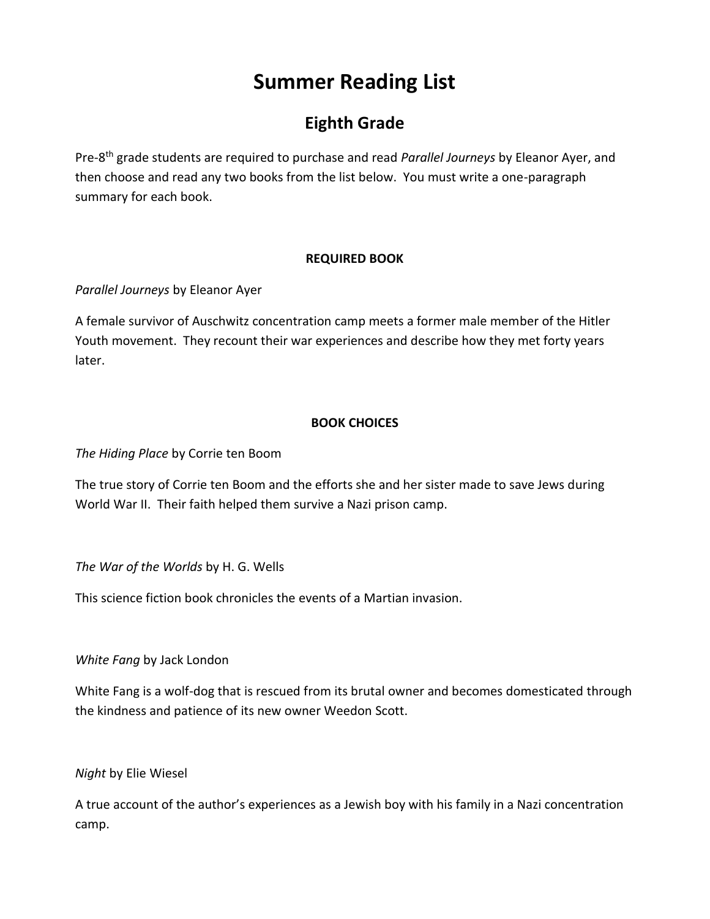# **Summer Reading List**

# **Eighth Grade**

Pre-8 th grade students are required to purchase and read *Parallel Journeys* by Eleanor Ayer, and then choose and read any two books from the list below. You must write a one-paragraph summary for each book.

#### **REQUIRED BOOK**

*Parallel Journeys* by Eleanor Ayer

A female survivor of Auschwitz concentration camp meets a former male member of the Hitler Youth movement. They recount their war experiences and describe how they met forty years later.

#### **BOOK CHOICES**

*The Hiding Place* by Corrie ten Boom

The true story of Corrie ten Boom and the efforts she and her sister made to save Jews during World War II. Their faith helped them survive a Nazi prison camp.

*The War of the Worlds* by H. G. Wells

This science fiction book chronicles the events of a Martian invasion.

*White Fang* by Jack London

White Fang is a wolf-dog that is rescued from its brutal owner and becomes domesticated through the kindness and patience of its new owner Weedon Scott.

*Night* by Elie Wiesel

A true account of the author's experiences as a Jewish boy with his family in a Nazi concentration camp.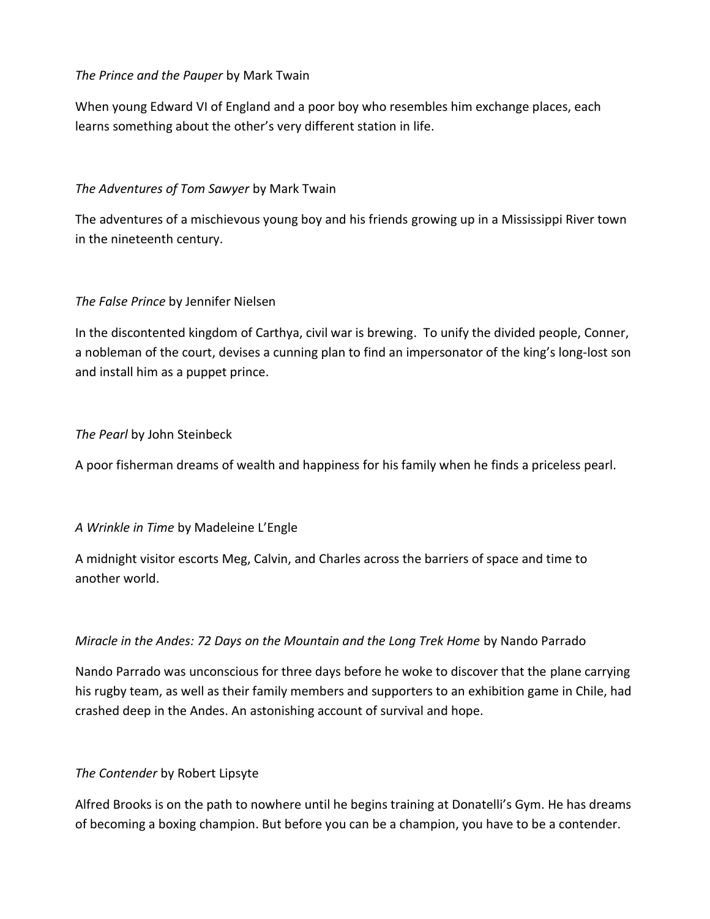#### *The Prince and the Pauper* by Mark Twain

When young Edward VI of England and a poor boy who resembles him exchange places, each learns something about the other's very different station in life.

# *The Adventures of Tom Sawyer* by Mark Twain

The adventures of a mischievous young boy and his friends growing up in a Mississippi River town in the nineteenth century.

#### *The False Prince* by Jennifer Nielsen

In the discontented kingdom of Carthya, civil war is brewing. To unify the divided people, Conner, a nobleman of the court, devises a cunning plan to find an impersonator of the king's long-lost son and install him as a puppet prince.

#### *The Pearl* by John Steinbeck

A poor fisherman dreams of wealth and happiness for his family when he finds a priceless pearl.

# *A Wrinkle in Time* by Madeleine L'Engle

A midnight visitor escorts Meg, Calvin, and Charles across the barriers of space and time to another world.

# *Miracle in the Andes: 72 Days on the Mountain and the Long Trek Home by Nando Parrado*

Nando Parrado was unconscious for three days before he woke to discover that the plane carrying his rugby team, as well as their family members and supporters to an exhibition game in Chile, had crashed deep in the Andes. An astonishing account of survival and hope.

#### *The Contender* by Robert Lipsyte

Alfred Brooks is on the path to nowhere until he begins training at Donatelli's Gym. He has dreams of becoming a boxing champion. But before you can be a champion, you have to be a contender.